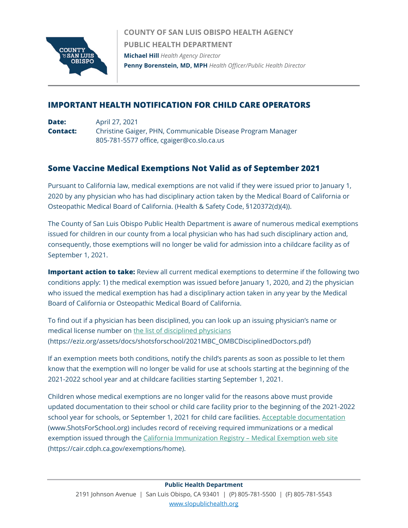

**COUNTY OF SAN LUIS OBISPO HEALTH AGENCY PUBLIC HEALTH DEPARTMENT Michael Hill** *Health Agency Director* **Penny Borenstein, MD, MPH** *Health Officer/Public Health Director*

## **IMPORTANT HEALTH NOTIFICATION FOR CHILD CARE OPERATORS**

**Date:** April 27, 2021 **Contact:** Christine Gaiger, PHN, Communicable Disease Program Manager 805-781-5577 office, cgaiger@co.slo.ca.us

## **Some Vaccine Medical Exemptions Not Valid as of September 2021**

Pursuant to California law, medical exemptions are not valid if they were issued prior to January 1, 2020 by any physician who has had disciplinary action taken by the Medical Board of California or Osteopathic Medical Board of California. (Health & Safety Code, §120372(d)(4)).

The County of San Luis Obispo Public Health Department is aware of numerous medical exemptions issued for children in our county from a local physician who has had such disciplinary action and, consequently, those exemptions will no longer be valid for admission into a childcare facility as of September 1, 2021.

**Important action to take:** Review all current medical exemptions to determine if the following two conditions apply: 1) the medical exemption was issued before January 1, 2020, and 2) the physician who issued the medical exemption has had a disciplinary action taken in any year by the Medical Board of California or Osteopathic Medical Board of California.

To find out if a physician has been disciplined, you can look up an issuing physician's name or medical license number on [the list of disciplined physicians](https://eziz.org/assets/docs/shotsforschool/2021MBC_OMBCDisciplinedDoctors.pdf) (https://eziz.org/assets/docs/shotsforschool/2021MBC\_OMBCDisciplinedDoctors.pdf)

If an exemption meets both conditions, notify the child's parents as soon as possible to let them know that the exemption will no longer be valid for use at schools starting at the beginning of the 2021-2022 school year and at childcare facilities starting September 1, 2021.

Children whose medical exemptions are no longer valid for the reasons above must provide updated documentation to their school or child care facility prior to the beginning of the 2021-2022 school year for schools, or September 1, 2021 for child care facilities. [Acceptable documentation](https://www.shotsforschool.org/) (www[.ShotsForSchool.org\)](https://www.shotsforschool.org/) includes record of receiving required immunizations or a medical exemption issued through the [California Immunization Registry –](https://cair.cdph.ca.gov/exemptions/home) Medical Exemption web site (https://cair.cdph.ca.gov/exemptions/home).